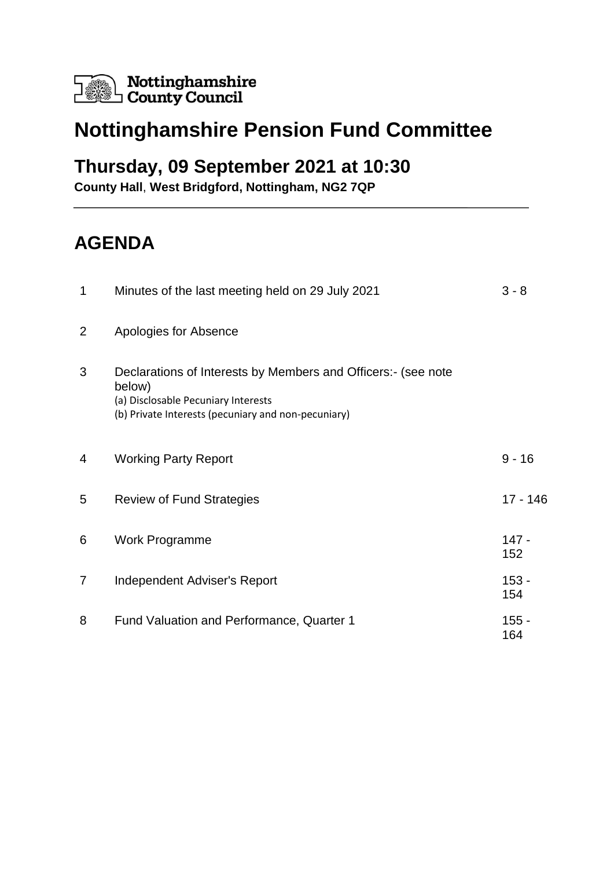

# **Nottinghamshire Pension Fund Committee**

### **Thursday, 09 September 2021 at 10:30**

**County Hall**, **West Bridgford, Nottingham, NG2 7QP**

## **AGENDA**

| 1              | Minutes of the last meeting held on 29 July 2021                                                                                                                      | $3 - 8$        |
|----------------|-----------------------------------------------------------------------------------------------------------------------------------------------------------------------|----------------|
| $\overline{2}$ | Apologies for Absence                                                                                                                                                 |                |
| 3              | Declarations of Interests by Members and Officers:- (see note<br>below)<br>(a) Disclosable Pecuniary Interests<br>(b) Private Interests (pecuniary and non-pecuniary) |                |
| 4              | <b>Working Party Report</b>                                                                                                                                           | $9 - 16$       |
| 5              | <b>Review of Fund Strategies</b>                                                                                                                                      | 17 - 146       |
| 6              | <b>Work Programme</b>                                                                                                                                                 | $147 -$<br>152 |
| 7              | Independent Adviser's Report                                                                                                                                          | $153 -$<br>154 |
| 8              | Fund Valuation and Performance, Quarter 1                                                                                                                             | $155 -$<br>164 |